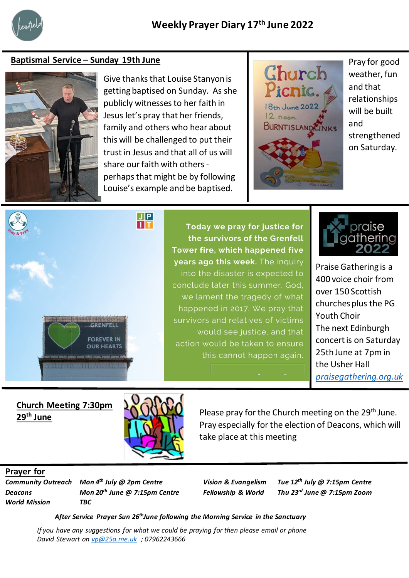

## **Baptismal Service – Sunday 19th June**



Give thanks that Louise Stanyon is getting baptised on Sunday. As she publicly witnesses to her faith in Jesus let's pray that her friends, family and others who hear about this will be challenged to put their trust in Jesus and that all of us will share our faith with othersperhaps that might be by following Louise's example and be baptised.



Pray for good weather, fun and that relationships will be built and strengthened on Saturday.



Today we pray for justice for the survivors of the Grenfell Tower fire, which happened five years ago this week. The inquiry into the disaster is expected to conclude later this summer. God, we lament the tragedy of what happened in 2017. We pray that survivors and relatives of victims would see justice, and that action would be taken to ensure this cannot happen again.



Praise Gathering is a 400 voice choir from over 150 Scottish churches plus the PG Youth Choir The next Edinburgh concert is on Saturday 25th June at 7pm in the Usher Hall *[praisegathering.org.uk](https://praisegathering.org.uk/)*

**Church Meeting 7:30pm** 



Pray especially for the election of Deacons, which will **29<sup>th</sup> June** 29<sup>th</sup> June take place at this meeting

## **Prayer for**

*World Mission TBC*

*Community Outreach Mon 4th July @ 2pm Centre Vision & Evangelism Tue 12th July @ 7:15pm Centre Deacons Mon 20th June @ 7:15pm Centre Fellowship & World Thu 23rd June @ 7:15pm Zoom*

*After Service Prayer Sun 26thJune following the Morning Service in the Sanctuary*

*If you have any suggestions for what we could be praying for then please email or phone David Stewart on [vp@25a.me.uk](mailto:vp@25a.me.uk) ; 07962243666*